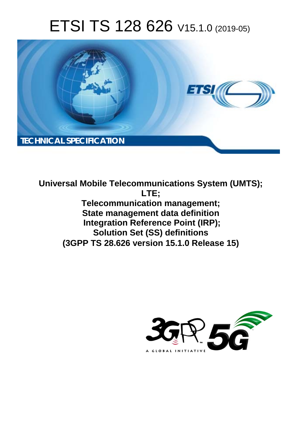# ETSI TS 128 626 V15.1.0 (2019-05)



**Universal Mobile Telecommunications System (UMTS); LTE; Telecommunication management; State management data definition Integration Reference Point (IRP); Solution Set (SS) definitions (3GPP TS 28.626 version 15.1.0 Release 15)** 

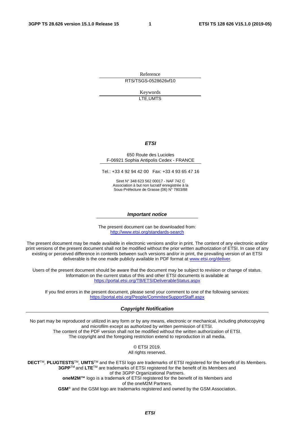Reference RTS/TSGS-0528626vf10

> Keywords LTE,UMTS

#### *ETSI*

#### 650 Route des Lucioles F-06921 Sophia Antipolis Cedex - FRANCE

Tel.: +33 4 92 94 42 00 Fax: +33 4 93 65 47 16

Siret N° 348 623 562 00017 - NAF 742 C Association à but non lucratif enregistrée à la Sous-Préfecture de Grasse (06) N° 7803/88

#### *Important notice*

The present document can be downloaded from: <http://www.etsi.org/standards-search>

The present document may be made available in electronic versions and/or in print. The content of any electronic and/or print versions of the present document shall not be modified without the prior written authorization of ETSI. In case of any existing or perceived difference in contents between such versions and/or in print, the prevailing version of an ETSI deliverable is the one made publicly available in PDF format at [www.etsi.org/deliver](http://www.etsi.org/deliver).

Users of the present document should be aware that the document may be subject to revision or change of status. Information on the current status of this and other ETSI documents is available at <https://portal.etsi.org/TB/ETSIDeliverableStatus.aspx>

If you find errors in the present document, please send your comment to one of the following services: <https://portal.etsi.org/People/CommiteeSupportStaff.aspx>

#### *Copyright Notification*

No part may be reproduced or utilized in any form or by any means, electronic or mechanical, including photocopying and microfilm except as authorized by written permission of ETSI. The content of the PDF version shall not be modified without the written authorization of ETSI. The copyright and the foregoing restriction extend to reproduction in all media.

> © ETSI 2019. All rights reserved.

**DECT**TM, **PLUGTESTS**TM, **UMTS**TM and the ETSI logo are trademarks of ETSI registered for the benefit of its Members. **3GPP**TM and **LTE**TM are trademarks of ETSI registered for the benefit of its Members and of the 3GPP Organizational Partners. **oneM2M™** logo is a trademark of ETSI registered for the benefit of its Members and of the oneM2M Partners. **GSM**® and the GSM logo are trademarks registered and owned by the GSM Association.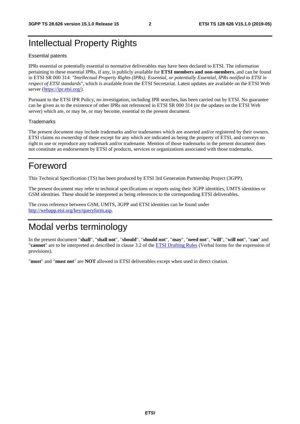#### Intellectual Property Rights

#### Essential patents

IPRs essential or potentially essential to normative deliverables may have been declared to ETSI. The information pertaining to these essential IPRs, if any, is publicly available for **ETSI members and non-members**, and can be found in ETSI SR 000 314: *"Intellectual Property Rights (IPRs); Essential, or potentially Essential, IPRs notified to ETSI in respect of ETSI standards"*, which is available from the ETSI Secretariat. Latest updates are available on the ETSI Web server ([https://ipr.etsi.org/\)](https://ipr.etsi.org/).

Pursuant to the ETSI IPR Policy, no investigation, including IPR searches, has been carried out by ETSI. No guarantee can be given as to the existence of other IPRs not referenced in ETSI SR 000 314 (or the updates on the ETSI Web server) which are, or may be, or may become, essential to the present document.

#### **Trademarks**

The present document may include trademarks and/or tradenames which are asserted and/or registered by their owners. ETSI claims no ownership of these except for any which are indicated as being the property of ETSI, and conveys no right to use or reproduce any trademark and/or tradename. Mention of those trademarks in the present document does not constitute an endorsement by ETSI of products, services or organizations associated with those trademarks.

#### Foreword

This Technical Specification (TS) has been produced by ETSI 3rd Generation Partnership Project (3GPP).

The present document may refer to technical specifications or reports using their 3GPP identities, UMTS identities or GSM identities. These should be interpreted as being references to the corresponding ETSI deliverables.

The cross reference between GSM, UMTS, 3GPP and ETSI identities can be found under [http://webapp.etsi.org/key/queryform.asp.](http://webapp.etsi.org/key/queryform.asp)

### Modal verbs terminology

In the present document "**shall**", "**shall not**", "**should**", "**should not**", "**may**", "**need not**", "**will**", "**will not**", "**can**" and "**cannot**" are to be interpreted as described in clause 3.2 of the [ETSI Drafting Rules](https://portal.etsi.org/Services/editHelp!/Howtostart/ETSIDraftingRules.aspx) (Verbal forms for the expression of provisions).

"**must**" and "**must not**" are **NOT** allowed in ETSI deliverables except when used in direct citation.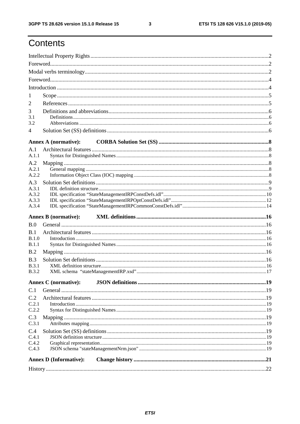$\mathbf{3}$ 

## Contents

| 1                            |                               |  |
|------------------------------|-------------------------------|--|
| 2                            |                               |  |
| 3                            |                               |  |
| 3.1                          |                               |  |
| 3.2                          |                               |  |
| 4                            |                               |  |
|                              | <b>Annex A (normative):</b>   |  |
| A.1                          |                               |  |
| A.1.1                        |                               |  |
| A.2                          |                               |  |
| A.2.1<br>A.2.2               |                               |  |
| A.3                          |                               |  |
| A.3.1                        |                               |  |
| A.3.2                        |                               |  |
| A.3.3                        |                               |  |
| A.3.4                        |                               |  |
|                              | <b>Annex B</b> (normative):   |  |
| B.0                          |                               |  |
| B.1                          |                               |  |
| B.1.0                        |                               |  |
| B.1.1                        |                               |  |
| B.2                          |                               |  |
| B.3                          |                               |  |
| <b>B.3.1</b><br><b>B.3.2</b> |                               |  |
|                              |                               |  |
|                              | <b>Annex C</b> (normative):   |  |
| C.1                          |                               |  |
| C.2                          |                               |  |
| C.2.1                        |                               |  |
| C.2.2                        |                               |  |
| C.3<br>C.3.1                 |                               |  |
| C.4                          |                               |  |
| C.4.1                        |                               |  |
| C.4.2                        |                               |  |
| C.4.3                        |                               |  |
|                              | <b>Annex D (Informative):</b> |  |
|                              |                               |  |
|                              |                               |  |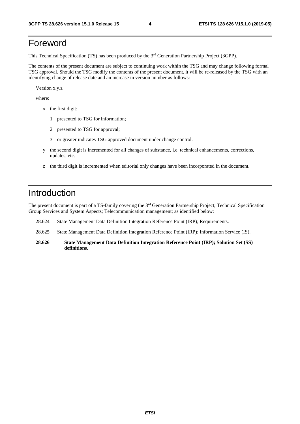### Foreword

This Technical Specification (TS) has been produced by the 3rd Generation Partnership Project (3GPP).

The contents of the present document are subject to continuing work within the TSG and may change following formal TSG approval. Should the TSG modify the contents of the present document, it will be re-released by the TSG with an identifying change of release date and an increase in version number as follows:

Version x.y.z

where:

- x the first digit:
	- 1 presented to TSG for information;
	- 2 presented to TSG for approval;
	- 3 or greater indicates TSG approved document under change control.
- y the second digit is incremented for all changes of substance, i.e. technical enhancements, corrections, updates, etc.
- z the third digit is incremented when editorial only changes have been incorporated in the document.

#### Introduction

The present document is part of a TS-family covering the 3rd Generation Partnership Project; Technical Specification Group Services and System Aspects; Telecommunication management; as identified below:

- 28.624 State Management Data Definition Integration Reference Point (IRP); Requirements.
- 28.625 State Management Data Definition Integration Reference Point (IRP); Information Service (IS).
- **28.626 State Management Data Definition Integration Reference Point (IRP); Solution Set (SS) definitions.**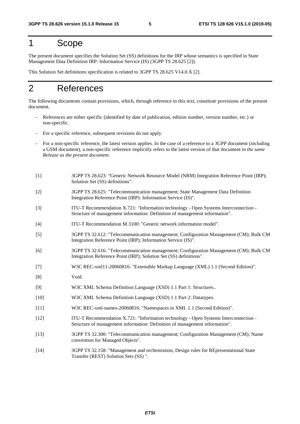#### 1 Scope

The present document specifies the Solution Set (SS) definitions for the IRP whose semantics is specified in State Management Data Definition IRP: Information Service (IS) (3GPP TS 28.625 [2]).

This Solution Set definitions specification is related to 3GPP TS 28.625 V14.0.X [2].

### 2 References

The following documents contain provisions, which, through reference in this text, constitute provisions of the present document.

- References are either specific (identified by date of publication, edition number, version number, etc.) or non-specific.
- For a specific reference, subsequent revisions do not apply.
- For a non-specific reference, the latest version applies. In the case of a reference to a 3GPP document (including a GSM document), a non-specific reference implicitly refers to the latest version of that document *in the same Release as the present document*.
- [1] 3GPP TS 28.623: "Generic Network Resource Model (NRM) Integration Reference Point (IRP); Solution Set (SS) definitions".
- [2] 3GPP TS 28.625: "Telecommunication management; State Management Data Definition Integration Reference Point (IRP): Information Service (IS)".
- [3] ITU-T Recommendation X.721: "Information technology Open Systems Interconnection Structure of management information: Definition of management information".
- [4] ITU-T Recommendation M.3100: "Generic network information model".
- [5] 3GPP TS 32.612: "Telecommunication management; Configuration Management (CM); Bulk CM Integration Reference Point (IRP); Information Service (IS)".
- [6] 3GPP TS 32.616: "Telecommunication management; Configuration Management (CM); Bulk CM Integration Reference Point (IRP); Solution Set (SS) definitions".
- [7] W3C REC-xml11-20060816: "Extensible Markup Language (XML) 1.1 (Second Edition)".
- [8] Void.
- [9] W3C XML Schema Definition Language (XSD) 1.1 Part 1: Structures..
- [10] W3C XML Schema Definition Language (XSD) 1.1 Part 2: Datatypes.
- [11] W3C REC-xml-names-20060816: "Namespaces in XML 1.1 (Second Edition)".
- [12] ITU-T Recommendation X.721: "Information technology Open Systems Interconnection Structure of management information: Definition of management information".
- [13] 3GPP TS 32.300: "Telecommunication management; Configuration Management (CM); Name convention for Managed Objects".
- [14] 3GPP TS 32.158: "Management and orchestration; Design rules for REpresentational State Transfer (REST) Solution Sets (SS) ".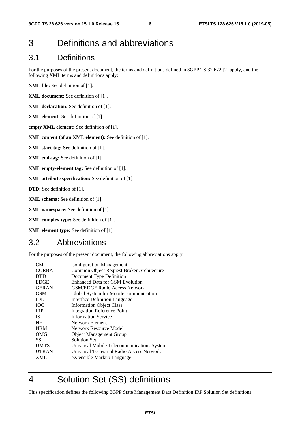### 3 Definitions and abbreviations

#### 3.1 Definitions

For the purposes of the present document, the terms and definitions defined in 3GPP TS 32.672 [2] apply, and the following XML terms and definitions apply:

**XML file:** See definition of [1].

**XML document:** See definition of [1].

**XML declaration:** See definition of [1].

- **XML element:** See definition of [1].
- **empty XML element:** See definition of [1].

**XML content (of an XML element):** See definition of [1].

**XML start-tag:** See definition of [1].

**XML end-tag:** See definition of [1].

**XML empty-element tag:** See definition of [1].

**XML attribute specification:** See definition of [1].

**DTD:** See definition of [1].

**XML schema:** See definition of [1].

**XML namespace:** See definition of [1].

**XML complex type:** See definition of [1].

**XML element type:** See definition of [1].

#### 3.2 Abbreviations

For the purposes of the present document, the following abbreviations apply:

| <b>CORBA</b><br>Common Object Request Broker Architecture<br><b>DTD</b><br>Document Type Definition<br><b>EDGE</b><br>Enhanced Data for GSM Evolution |
|-------------------------------------------------------------------------------------------------------------------------------------------------------|
|                                                                                                                                                       |
|                                                                                                                                                       |
|                                                                                                                                                       |
| <b>GERAN</b><br><b>GSM/EDGE Radio Access Network</b>                                                                                                  |
| <b>GSM</b><br>Global System for Mobile communication                                                                                                  |
| IDL<br>Interface Definition Language                                                                                                                  |
| <b>TOC</b><br><b>Information Object Class</b>                                                                                                         |
| <b>IRP</b><br><b>Integration Reference Point</b>                                                                                                      |
| <b>Information Service</b><br>IS.                                                                                                                     |
| <b>NE</b><br>Network Element                                                                                                                          |
| <b>NRM</b><br>Network Resource Model                                                                                                                  |
| OMG<br><b>Object Management Group</b>                                                                                                                 |
| <b>Solution Set</b><br>SS                                                                                                                             |
| <b>UMTS</b><br>Universal Mobile Telecommunications System                                                                                             |
| <b>UTRAN</b><br>Universal Terrestrial Radio Access Network                                                                                            |
| <b>XML</b><br>eXtensible Markup Language                                                                                                              |

## 4 Solution Set (SS) definitions

This specification defines the following 3GPP State Management Data Definition IRP Solution Set definitions: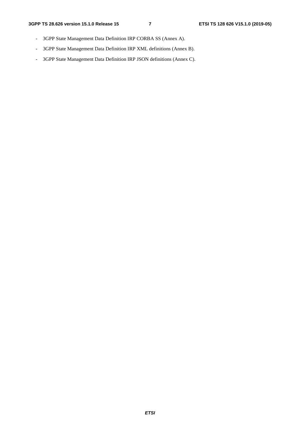- 3GPP State Management Data Definition IRP CORBA SS (Annex A).
- 3GPP State Management Data Definition IRP XML definitions (Annex B).
- 3GPP State Management Data Definition IRP JSON definitions (Annex C).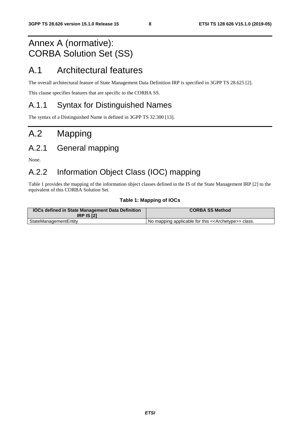## Annex A (normative): CORBA Solution Set (SS)

#### A.1 Architectural features

The overall architectural feature of State Management Data Definition IRP is specified in 3GPP TS 28.625 [2].

This clause specifies features that are specific to the CORBA SS.

#### A.1.1 Syntax for Distinguished Names

The syntax of a Distinguished Name is defined in 3GPP TS 32.300 [13].

## A.2 Mapping

### A.2.1 General mapping

None.

#### A.2.2 Information Object Class (IOC) mapping

Table 1 provides the mapping of the information object classes defined in the IS of the State Management IRP [2] to the equivalent of this CORBA Solution Set.

#### **Table 1: Mapping of IOCs**

| <b>IOCs defined in State Management Data Definition</b><br><b>IRP IS [2]</b> | <b>CORBA SS Method</b>                                              |
|------------------------------------------------------------------------------|---------------------------------------------------------------------|
| StateManagementEntity                                                        | No mapping applicable for this < <archetype>&gt; class.</archetype> |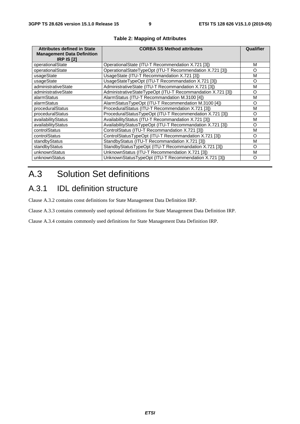| <b>Attributes defined in State</b><br><b>Management Data Definition</b><br><b>IRP IS [2]</b> | <b>CORBA SS Method attributes</b>                           | <b>Qualifier</b> |
|----------------------------------------------------------------------------------------------|-------------------------------------------------------------|------------------|
| operationalState                                                                             | OperationalState (ITU-T Recommendation X.721 [3])           | м                |
| operationalState                                                                             | OperationalStateTypeOpt (ITU-T Recommendation X.721 [3])    | O                |
| usageState                                                                                   | UsageState (ITU-T Recommandation X.721 [3])                 | M                |
| usageState                                                                                   | UsageStateTypeOpt (ITU-T Recommandation X.721 [3])          | O                |
| administrativeState                                                                          | AdministrativeState (ITU-T Recommandation X.721 [3])        | м                |
| administrativeState                                                                          | AdministrativeStateTypeOpt (ITU-T Recommandation X.721 [3]) | O                |
| alarmStatus                                                                                  | AlarmStatus (ITU-T Recommandation M.3100 [4])               | м                |
| alarmStatus                                                                                  | AlarmStatusTypeOpt (ITU-T Recommendation M.3100 [4])        | Ω                |
| proceduralStatus                                                                             | ProceduralStatus (ITU-T Recommendation X.721 [3])           | м                |
| proceduralStatus                                                                             | ProceduralStatusTypeOpt (ITU-T Recommendation X.721 [3])    | O                |
| availabilityStatus                                                                           | AvailabilityStatus (ITU-T Recommandation X.721 [3])         | м                |
| availabilityStatus                                                                           | AvailabilityStatusTypeOpt (ITU-T Recommandation X.721 [3])  | O                |
| controlStatus                                                                                | ControlStatus (ITU-T Recommandation X.721 [3])              | М                |
| controlStatus                                                                                | ControlStatusTypeOpt (ITU-T Recommandation X.721 [3])       | Ω                |
| standbyStatus                                                                                | StandbyStatus (ITU-T Recommandation X.721 [3])              | М                |
| standbyStatus                                                                                | StandbyStatusTypeOpt (ITU-T Recommandation X.721 [3])       | Ω                |
| unknownStatus                                                                                | UnknownStatus (ITU-T Recommendation X.721 [3])              | M                |
| unknownStatus                                                                                | UnknownStatusTypeOpt (ITU-T Recommendation X.721 [3])       | $\Omega$         |

#### **Table 2: Mapping of Attributes**

## A.3 Solution Set definitions

#### A.3.1 IDL definition structure

Clause A.3.2 contains const definitions for State Management Data Definition IRP.

Clause A.3.3 contains commonly used optional definitions for State Management Data Definition IRP.

Clause A.3.4 contains commonly used definitions for State Management Data Definition IRP.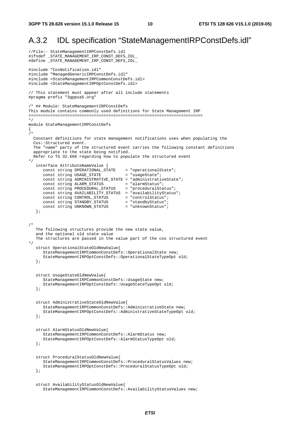#### A.3.2 IDL specification "StateManagementIRPConstDefs.idl"

```
//File:- StateManagementIRPConstDefs.idl 
#ifndef _STATE_MANAGEMENT_IRP_CONST_DEFS_IDL_ 
#define _STATE_MANAGEMENT_IRP_CONST_DEFS_IDL_ 
#include "CosNotification.idl" 
#include "ManagedGenericIRPConstDefs.idl" 
#include <StateManagementIRPCommonConstDefs.idl> 
#include <StateManagementIRPOptConstDefs.idl> 
// This statement must appear after all include statements 
#pragma prefix "3gppsa5.org" 
/* ## Module: StateManagementIRPConstDefs 
This module contains commonly used definitions for State Management IRP 
======================================================================== 
*/ 
module StateManagementIRPConstDefs 
{ 
/* 
   Constant definitions for state management notifications uses when populating the 
   Cos::Structured event. 
   The "name" party of the structured event carries the following constant definitions 
   appropriate to the state being notified. 
   Refer to TS 32.666 regarding how to populate the structured event 
*/ 
    interface AttributeNameValue { 
 const string OPERATIONAL_STATE = "operationalState"; 
const string USAGE_STATE = "usageState";
      const string ADMINISTRATIVE_STATE = "administrativeState";<br>const string ALARM_STATUS = "alarmStatus";
const string ALARM_STATUS = "alarmStatus";
 const string PROCEDURAL_STATUS = "proceduralStatus"; 
       const string AVAILABILITY_STATUS = "availabilityStatus"; 
 const string CONTROL_STATUS = "controlStatus"; 
 const string STANDBY_STATUS = "standbyStatus"; 
 const string UNKNOWN_STATUS = "unknownStatus"; 
    }; 
/* 
   The following structures provide the new state value, 
    and the optional old state value 
   The structures are passed in the value part of the cos structured event 
*/ 
    struct OperationalStateOldNewValue{ 
       StateManagementIRPCommonConstDefs::OperationalState new; 
       StateManagementIRPOptConstDefs::OperationalStateTypeOpt old; 
    }; 
    struct UsageStateOldNewValue{ 
       StateManagementIRPCommonConstDefs::UsageState new; 
       StateManagementIRPOptConstDefs::UsageStateTypeOpt old; 
    }; 
    struct AdministrativeStateOldNewValue{ 
       StateManagementIRPCommonConstDefs::AdministrativeState new; 
       StateManagementIRPOptConstDefs::AdministrativeStateTypeOpt old; 
    }; 
    struct AlarmStatusOldNewValue{ 
       StateManagementIRPCommonConstDefs::AlarmStatus new; 
       StateManagementIRPOptConstDefs::AlarmStatusTypeOpt old; 
    }; 
    struct ProceduralStatusOldNewValue{ 
       StateManagementIRPCommonConstDefs::ProceduralStatusValues new; 
       StateManagementIRPOptConstDefs::ProceduralStatusTypeOpt old; 
    }; 
    struct AvailabilityStatusOldNewValue{ 
       StateManagementIRPCommonConstDefs::AvailabilityStatusValues new;
```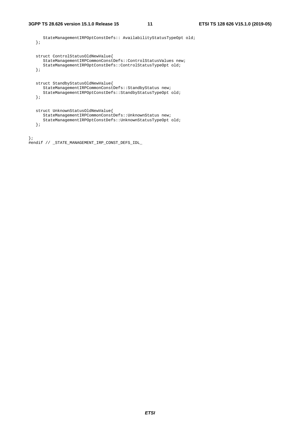```
 StateManagementIRPOptConstDefs:: AvailabilityStatusTypeOpt old; 
    }; 
    struct ControlStatusOldNewValue{ 
      StateManagementIRPCommonConstDefs::ControlStatusValues new; 
       StateManagementIRPOptConstDefs::ControlStatusTypeOpt old; 
    }; 
   struct StandbyStatusOldNewValue{ 
       StateManagementIRPCommonConstDefs::StandbyStatus new; 
       StateManagementIRPOptConstDefs::StandbyStatusTypeOpt old; 
    }; 
    struct UnknownStatusOldNewValue{ 
       StateManagementIRPCommonConstDefs::UnknownStatus new; 
       StateManagementIRPOptConstDefs::UnknownStatusTypeOpt old; 
    }; 
}; 
#endif // _STATE_MANAGEMENT_IRP_CONST_DEFS_IDL_
```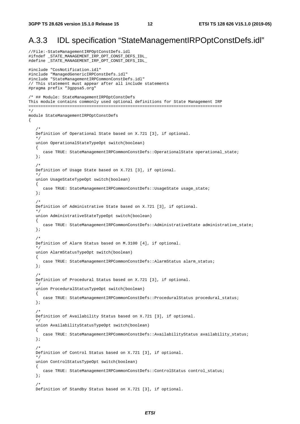#### A.3.3 IDL specification "StateManagementIRPOptConstDefs.idl"

//File:-StateManagementIRPOptConstDefs.idl #ifndef \_STATE\_MANAGEMENT\_IRP\_OPT\_CONST\_DEFS\_IDL\_ #define \_STATE\_MANAGEMENT\_IRP\_OPT\_CONST\_DEFS\_IDL\_ #include "CosNotification.idl" #include "ManagedGenericIRPConstDefs.idl" #include "StateManagementIRPCommonConstDefs.idl" // This statement must appear after all include statements #pragma prefix "3gppsa5.org" /\* ## Module: StateManagementIRPOptConstDefs This module contains commonly used optional definitions for State Management IRP ================================================================================ \*/ module StateManagementIRPOptConstDefs  $\left\{ \right.$  /\* Definition of Operational State based on X.721 [3], if optional. \*/ union OperationalStateTypeOpt switch(boolean) { case TRUE: StateManagementIRPCommonConstDefs: : OperationalState operational\_state; };  $/$  \* Definition of Usage State based on X.721 [3], if optional. \*/ union UsageStateTypeOpt switch(boolean) { case TRUE: StateManagementIRPCommonConstDefs::UsageState usage\_state; }; /\* Definition of Administrative State based on X.721 [3], if optional. \*/ union AdministrativeStateTypeOpt switch(boolean) { case TRUE: StateManagementIRPCommonConstDefs::AdministrativeState administrative state; }; /\* Definition of Alarm Status based on M.3100 [4], if optional. \*/ union AlarmStatusTypeOpt switch(boolean) { case TRUE: StateManagementIRPCommonConstDefs::AlarmStatus alarm\_status; }; /\* Definition of Procedural Status based on X.721 [3], if optional. \*/ union ProceduralStatusTypeOpt switch(boolean) { case TRUE: StateManagementIRPCommonConstDefs::ProceduralStatus procedural\_status; }; /\* Definition of Availability Status based on X.721 [3], if optional. \*/ union AvailabilityStatusTypeOpt switch(boolean) { case TRUE: StateManagementIRPCommonConstDefs::AvailabilityStatus availability\_status; }; /\* Definition of Control Status based on X.721 [3], if optional. \*/ union ControlStatusTypeOpt switch(boolean) { case TRUE: StateManagementIRPCommonConstDefs::ControlStatus control\_status; };  $/$  \* Definition of Standby Status based on X.721 [3], if optional.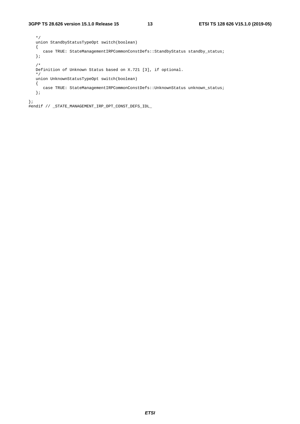```
 */ 
   union StandbyStatusTypeOpt switch(boolean) 
    { 
     case TRUE: StateManagementIRPCommonConstDefs::StandbyStatus standby_status;
    }; 
    /* 
   Definition of Unknown Status based on X.721 [3], if optional. 
    */ 
   union UnknownStatusTypeOpt switch(boolean) 
    { 
     case TRUE: StateManagementIRPCommonConstDefs::UnknownStatus unknown_status;
    }; 
};
```
#endif // \_STATE\_MANAGEMENT\_IRP\_OPT\_CONST\_DEFS\_IDL\_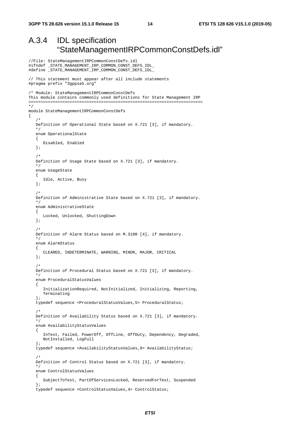//File: StateManagementIRPCommonConstDefs.idl

#### A.3.4 IDL specification "StateManagementIRPCommonConstDefs.idl"

```
#ifndef _STATE_MANAGEMENT_IRP_COMMON_CONST_DEFS_IDL_ 
#define _STATE_MANAGEMENT_IRP_COMMON_CONST_DEFS_IDL_ 
// This statement must appear after all include statements 
#pragma prefix "3gppsa5.org" 
/* Module: StateManagementIRPCommonConstDefs 
This module contains commonly used definitions for State Management IRP 
======================================================================== 
*/ 
module StateManagementIRPCommonConstDefs 
{ 
/ *
    Definition of Operational State based on X.721 [3], if mandatory. 
 */ 
    enum OperationalState 
    { 
       Disabled, Enabled 
    }; 
    /* 
    Definition of Usage State based on X.721 [3], if mandatory. 
    */ 
    enum UsageState 
    { 
       Idle, Active, Busy 
    }; 
    /* 
    Definition of Administrative State based on X.721 [3], if mandatory. 
 */ 
    enum AdministrativeState 
    { 
       Locked, Unlocked, ShuttingDown 
    }; 
    /* 
    Definition of Alarm Status based on M.3100 [4], if mandatory. 
    */ 
    enum AlarmStatus 
    { 
       CLEARED, INDETERMINATE, WARNING, MINOR, MAJOR, CRITICAL 
    }; 
    /* 
    Definition of Procedural Status based on X.721 [3], if mandatory. 
 */ 
    enum ProceduralStatusValues 
    { 
       InitializationRequired, NotInitialized, Initializing, Reporting, 
       Terminating 
    }; 
    typedef sequence <ProceduralStatusValues,5> ProceduralStatus; 
    /* 
    Definition of Availability Status based on X.721 [3], if mandatory. 
    */ 
    enum AvailabilityStatusValues 
    { 
       InTest, Failed, PowerOff, OffLine, OffDuty, Dependency, Degraded, 
       NotInstalled, LogFull 
    }; 
    typedef sequence <AvailabilityStatusValues,9> AvailabilityStatus; 
/ *
    Definition of Control Status based on X.721 [3], if mandatory. 
    */ 
    enum ControlStatusValues 
    { 
       SubjectToTest, PartOfServicesLocked, ReservedForTest, Suspended 
    }; 
    typedef sequence <ControlStatusValues,4> ControlStatus;
```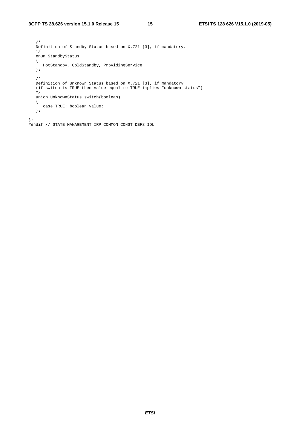/\* Definition of Standby Status based on X.721 [3], if mandatory. \*/ enum StandbyStatus  $\{$  HotStandby, ColdStandby, ProvidingService }; /\*<br>Definition of Unknown Status based on X.721 [3], if mandatory Definition of Unknown Status based on X.721 [3], if mandatory (if switch is TRUE then value equal to TRUE implies "unknown status"). \*/ union UnknownStatus switch(boolean) { case TRUE: boolean value; }; };

#endif //\_STATE\_MANAGEMENT\_IRP\_COMMON\_CONST\_DEFS\_IDL\_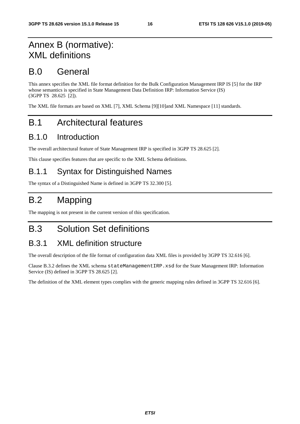## Annex B (normative): XML definitions

#### B.0 General

This annex specifies the XML file format definition for the Bulk Configuration Management IRP IS [5] for the IRP whose semantics is specified in State Management Data Definition IRP: Information Service (IS) (3GPP TS 28.625 [2]).

The XML file formats are based on XML [7], XML Schema [9][10]and XML Namespace [11] standards.

### B.1 Architectural features

#### B.1.0 Introduction

The overall architectural feature of State Management IRP is specified in 3GPP TS 28.625 [2].

This clause specifies features that are specific to the XML Schema definitions.

#### B.1.1 Syntax for Distinguished Names

The syntax of a Distinguished Name is defined in 3GPP TS 32.300 [5].

## B.2 Mapping

The mapping is not present in the current version of this specification.

### B.3 Solution Set definitions

#### B.3.1 XML definition structure

The overall description of the file format of configuration data XML files is provided by 3GPP TS 32.616 [6].

Clause B.3.2 defines the XML schema stateManagementIRP.xsd for the State Management IRP: Information Service (IS) defined in 3GPP TS 28.625 [2].

The definition of the XML element types complies with the generic mapping rules defined in 3GPP TS 32.616 [6].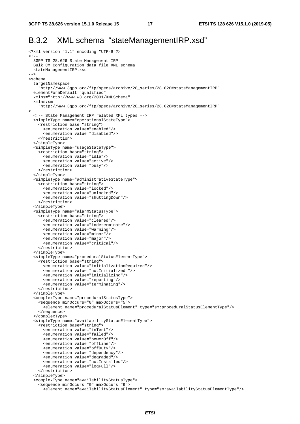#### B.3.2 XML schema "stateManagementIRP.xsd"

```
<?xml version="1.1" encoding="UTF-8"?> 
\leq ! - 3GPP TS 28.626 State Management IRP 
   Bulk CM Configuration data file XML schema 
  stateManagementIRP.xsd 
--&><schema 
  targetNamespace= 
     "http://www.3gpp.org/ftp/specs/archive/28_series/28.626#stateManagementIRP" 
   elementFormDefault="qualified" 
   xmlns="http://www.w3.org/2001/XMLSchema" 
   xmlns:sm= 
     "http://www.3gpp.org/ftp/specs/archive/28_series/28.626#stateManagementIRP" 
> 
   <!-- State Management IRP related XML types --> 
   <simpleType name="operationalStateType"> 
     <restriction base="string"> 
       <enumeration value="enabled"/> 
       <enumeration value="disabled"/> 
     </restriction> 
   </simpleType> 
   <simpleType name="usageStateType"> 
     <restriction base="string"> 
       <enumeration value="idle"/> 
       <enumeration value="active"/> 
       <enumeration value="busy"/> 
     </restriction> 
   </simpleType> 
   <simpleType name="administrativeStateType"> 
     <restriction base="string"> 
       <enumeration value="locked"/> 
       <enumeration value="unlocked"/> 
       <enumeration value="shuttingDown"/> 
     </restriction> 
   </simpleType> 
   <simpleType name="alarmStatusType"> 
     <restriction base="string"> 
       <enumeration value="cleared"/> 
       <enumeration value="indeterminate"/> 
       <enumeration value="warning"/> 
       <enumeration value="minor"/> 
       <enumeration value="major"/> 
       <enumeration value="critical"/> 
     </restriction> 
   </simpleType> 
   <simpleType name="proceduralStatusElementType"> 
     <restriction base="string"> 
       <enumeration value="initializationRequired"/> 
       <enumeration value="notInitialized "/> 
       <enumeration value="initializing"/> 
       <enumeration value="reporting"/> 
       <enumeration value="terminating"/> 
     </restriction> 
   </simpleType> 
   <complexType name="proceduralStatusType"> 
     <sequence minOccurs="0" maxOccurs="5"> 
       <element name="proceduralStatusElement" type="sm:proceduralStatusElementType"/> 
     </sequence> 
   </complexType> 
   <simpleType name="availabilityStatusElementType"> 
     <restriction base="string"> 
       <enumeration value="inTest"/> 
       <enumeration value="failed"/> 
       <enumeration value="powerOff"/> 
       <enumeration value="offLine"/> 
       <enumeration value="offDuty"/> 
       <enumeration value="dependency"/> 
       <enumeration value="degraded"/> 
       <enumeration value="notInstalled"/> 
       <enumeration value="logFull"/> 
     </restriction> 
   </simpleType> 
   <complexType name="availabilityStatusType"> 
     <sequence minOccurs="0" maxOccurs="9"> 
       <element name="availabilityStatusElement" type="sm:availabilityStatusElementType"/>
```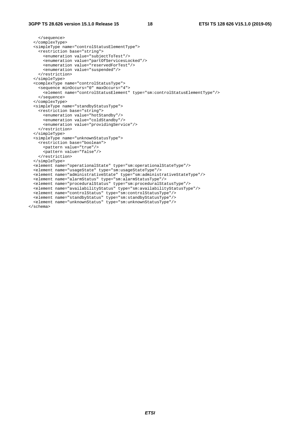```
 </sequence> 
   </complexType> 
  <simpleType name="controlStatusElementType"> 
     <restriction base="string"> 
       <enumeration value="subjectToTest"/> 
       <enumeration value="partOfServicesLocked"/> 
       <enumeration value="reservedForTest"/> 
       <enumeration value="suspended"/> 
     </restriction> 
   </simpleType> 
   <complexType name="controlStatusType"> 
     <sequence minOccurs="0" maxOccurs="4"> 
       <element name="controlStatusElement" type="sm:controlStatusElementType"/> 
     </sequence> 
   </complexType> 
   <simpleType name="standbyStatusType"> 
     <restriction base="string"> 
       <enumeration value="hotStandby"/> 
       <enumeration value="coldStandby"/> 
       <enumeration value="providingService"/> 
     </restriction> 
   </simpleType> 
   <simpleType name="unknownStatusType"> 
    <restriction base="boolean"> 
       <pattern value="true"/> 
       <pattern value="false"/> 
     </restriction> 
   </simpleType> 
  <element name="operationalState" type="sm:operationalStateType"/> 
  <element name="usageState" type="sm:usageStateType"/> 
   <element name="administrativeState" type="sm:administrativeStateType"/> 
   <element name="alarmStatus" type="sm:alarmStatusType"/> 
   <element name="proceduralStatus" type="sm:proceduralStatusType"/> 
  <element name="availabilityStatus" type="sm:availabilityStatusType"/> 
 <element name="controlStatus" type="sm:controlStatusType"/> 
 <element name="standbyStatus" type="sm:standbyStatusType"/> 
 <element name="unknownStatus" type="sm:unknownStatusType"/> 
</schema>
```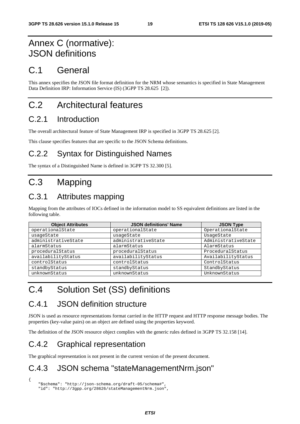## Annex C (normative): JSON definitions

## C.1 General

This annex specifies the JSON file format definition for the NRM whose semantics is specified in State Management Data Definition IRP: Information Service (IS) (3GPP TS 28.625 [2]).

## C.2 Architectural features

#### C.2.1 Introduction

The overall architectural feature of State Management IRP is specified in 3GPP TS 28.625 [2].

This clause specifies features that are specific to the JSON Schema definitions.

#### C.2.2 Syntax for Distinguished Names

The syntax of a Distinguished Name is defined in 3GPP TS 32.300 [5].

## C.3 Mapping

### C.3.1 Attributes mapping

Mapping from the attributes of IOCs defined in the information model to SS equivalent definitions are listed in the following table.

| <b>Object Attributes</b> | <b>JSON definitions' Name</b> | <b>JSON Type</b>    |
|--------------------------|-------------------------------|---------------------|
| operationalState         | operationalState              | OperationalState    |
| usageState               | usageState                    | UsageState          |
| administrativeState      | administrativeState           | AdministrativeState |
| alarmStatus              | alarmStatus                   | AlarmStatus         |
| proceduralStatus         | proceduralStatus              | ProceduralStatus    |
| availabilityStatus       | availabilityStatus            | AvailabilityStatus  |
| controlStatus            | controlStatus                 | ControlStatus       |
| standbyStatus            | standbyStatus                 | StandbyStatus       |
| unknownStatus            | unknownStatus                 | UnknownStatus       |

## C.4 Solution Set (SS) definitions

#### C.4.1 JSON definition structure

JSON is used as resource representations format carried in the HTTP request and HTTP response message bodies. The properties (key-value pairs) on an object are defined using the properties keyword.

The definition of the JSON resource object complies with the generic rules defined in 3GPP TS 32.158 [14].

#### C.4.2 Graphical representation

{

The graphical representation is not present in the current version of the present document.

### C.4.3 JSON schema "stateManagementNrm.json"

 "\$schema": "http://json-schema.org/draft-05/schema#", "id": "http://3gpp.org/28626/stateManagementNrm.json",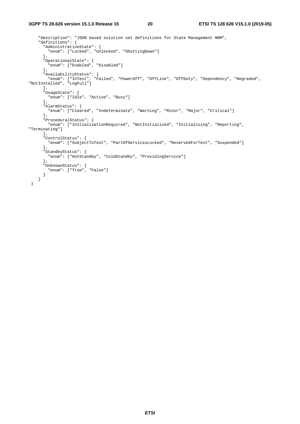```
 "description": "JSON based solution set definitions for State Management NRM", 
     "definitions": { 
       "AdministrativeState": { 
        "enum": ["Locked", "Unlocked", "ShuttingDown"] 
       }, 
 "OperationalState": { 
 "enum": ["Enabled", "Disabled"] 
\},
 "AvailabilityStatus": { 
 "enum": ["InTest", "Failed", "PowerOff", "OffLine", "OffDuty", "Dependency", "Degraded", 
"NotInstalled", "LogFull"] 
\},
       "UsageState": { 
         "enum": ["Idle", "Active", "Busy"] 
       }, 
       "AlarmStatus": { 
         "enum": ["Cleared", "Indeterminate", "Warning", "Minor", "Major", "Critical"] 
       }, 
       "ProceduralStatus": { 
        "enum": ["InitialisationRequired", "NotInitialised", "Initialising", "Reporting", 
"Terminating"] 
       }, 
       "ControlStatus": { 
         "enum": ["SubjectToTest", "PartOfServicesLocked", "ReservedForTest", "Suspended"] 
       }, 
       "StandbyStatus": { 
        "enum": ["HotStandby", "ColdStandby", "ProvidingService"] 
       }, 
       "UnknownStatus": { 
         "enum": ["True", "False"] 
      } 
    } 
 }
```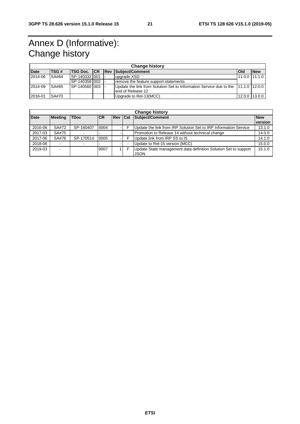## Annex D (Informative): Change history

| <b>Change history</b> |              |                        |  |  |                                                                                   |       |                   |
|-----------------------|--------------|------------------------|--|--|-----------------------------------------------------------------------------------|-------|-------------------|
| <b>Date</b>           | <b>ITSG#</b> | <b>TSG Doc. CR Rev</b> |  |  | Subject/Comment                                                                   | l Old | <b>New</b>        |
| 2014-06               | SA#64        | SP-140332 001          |  |  | upgrade XSD                                                                       |       | 11.0.0 111.1.0    |
|                       |              | ISP-140358 I002        |  |  | remove the feature support statements                                             |       |                   |
| 2014-09               | SA#65        | SP-140560 003          |  |  | Update the link from Solution Set to Information Service due to the 11.1.0 12.0.0 |       |                   |
|                       |              |                        |  |  | lend of Release 12                                                                |       |                   |
| 2016-01               | <b>SA#70</b> |                        |  |  | Upgrade to Rel-13(MCC)                                                            |       | $12.0.0$   13.0.0 |

| <b>Change history</b> |                          |             |            |                |  |                                                                         |                              |
|-----------------------|--------------------------|-------------|------------|----------------|--|-------------------------------------------------------------------------|------------------------------|
| <b>Date</b>           | <b>Meeting</b>           | <b>TDoc</b> | <b>ICR</b> | <b>Rev Cat</b> |  | Subject/Comment                                                         | <b>New</b><br><i>version</i> |
| 2016-06               | SA#72                    | SP-160407   | 0004       |                |  | Update the link from IRP Solution Set to IRP Information Service        | 13.1.0                       |
| 2017-03               | SA#75                    |             |            |                |  | Promotion to Release 14 without technical change                        | 14.0.0                       |
| 2017-06               | SA#76                    | SP-170514   | 0005       |                |  | Update link from IRP SS to IS                                           | 14.1.0                       |
| 2018-06               | $\overline{\phantom{0}}$ |             |            |                |  | Update to Rel-15 version (MCC)                                          | 15.0.0                       |
| 2019-03               | -                        |             | 0007       |                |  | Update State management data definition Solution Set to support<br>JSON | 15.1.0                       |